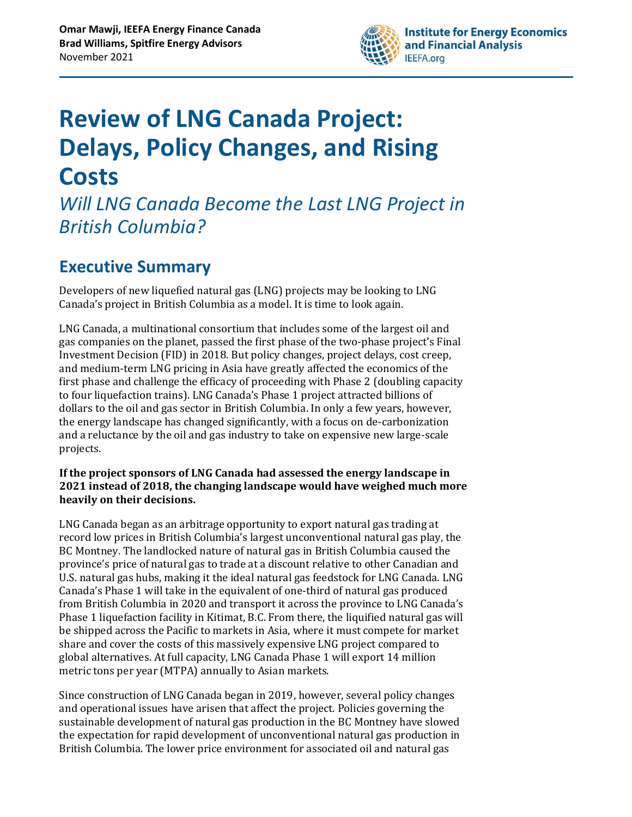

# **Review of LNG Canada Project: Delays, Policy Changes, and Rising Costs**

*Will LNG Canada Become the Last LNG Project in British Columbia?*

# <span id="page-0-0"></span>**Executive Summary**

Developers of new liquefied natural gas (LNG) projects may be looking to LNG Canada's project in British Columbia as a model. It is time to look again.

LNG Canada, a multinational consortium that includes some of the largest oil and gas companies on the planet, passed the first phase of the two-phase project's Final Investment Decision (FID) in 2018. But policy changes, project delays, cost creep, and medium-term LNG pricing in Asia have greatly affected the economics of the first phase and challenge the efficacy of proceeding with Phase 2 (doubling capacity to four liquefaction trains). LNG Canada's Phase 1 project attracted billions of dollars to the oil and gas sector in British Columbia. In only a few years, however, the energy landscape has changed significantly, with a focus on de-carbonization and a reluctance by the oil and gas industry to take on expensive new large-scale projects.

#### **If the project sponsors of LNG Canada had assessed the energy landscape in 2021 instead of 2018, the changing landscape would have weighed much more heavily on their decisions.**

LNG Canada began as an arbitrage opportunity to export natural gas trading at record low prices in British Columbia's largest unconventional natural gas play, the BC Montney. The landlocked nature of natural gas in British Columbia caused the province's price of natural gas to trade at a discount relative to other Canadian and U.S. natural gas hubs, making it the ideal natural gas feedstock for LNG Canada. LNG Canada's Phase 1 will take in the equivalent of one-third of natural gas produced from British Columbia in 2020 and transport it across the province to LNG Canada's Phase 1 liquefaction facility in Kitimat, B.C. From there, the liquified natural gas will be shipped across the Pacific to markets in Asia, where it must compete for market share and cover the costs of this massively expensive LNG project compared to global alternatives. At full capacity, LNG Canada Phase 1 will export 14 million metric tons per year (MTPA) annually to Asian markets.

Since construction of LNG Canada began in 2019, however, several policy changes and operational issues have arisen that affect the project. Policies governing the sustainable development of natural gas production in the BC Montney have slowed the expectation for rapid development of unconventional natural gas production in British Columbia. The lower price environment for associated oil and natural gas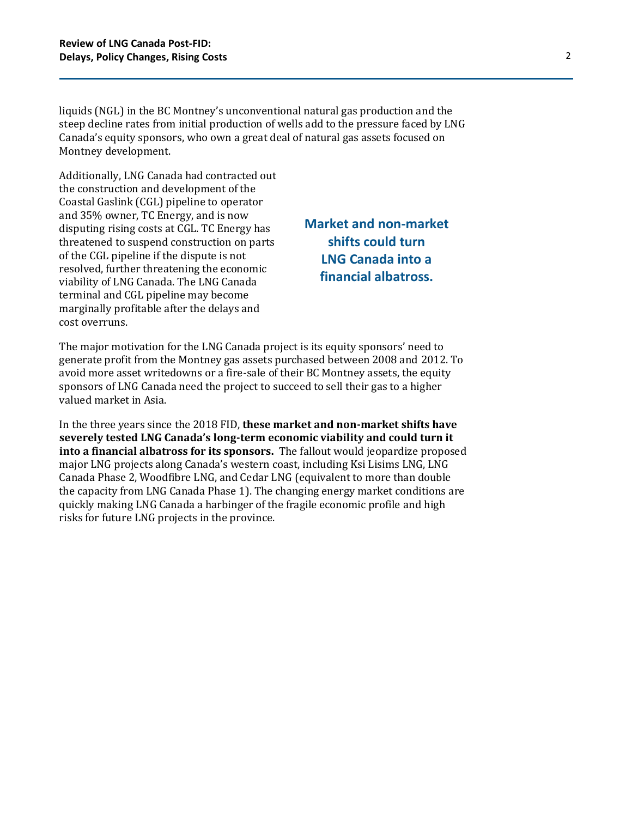liquids (NGL) in the BC Montney's unconventional natural gas production and the steep decline rates from initial production of wells add to the pressure faced by LNG Canada's equity sponsors, who own a great deal of natural gas assets focused on Montney development.

Additionally, LNG Canada had contracted out the construction and development of the Coastal Gaslink (CGL) pipeline to operator and 35% owner, TC Energy, and is now disputing rising costs at CGL. TC Energy has threatened to suspend construction on parts of the CGL pipeline if the dispute is not resolved, further threatening the economic viability of LNG Canada. The LNG Canada terminal and CGL pipeline may become marginally profitable after the delays and cost overruns.

**Market and non-market shifts could turn LNG Canada into a financial albatross.**

The major motivation for the LNG Canada project is its equity sponsors' need to generate profit from the Montney gas assets purchased between 2008 and 2012. To avoid more asset writedowns or a fire-sale of their BC Montney assets, the equity sponsors of LNG Canada need the project to succeed to sell their gas to a higher valued market in Asia.

In the three years since the 2018 FID, **these market and non-market shifts have severely tested LNG Canada's long-term economic viability and could turn it into a financial albatross for its sponsors.** The fallout would jeopardize proposed major LNG projects along Canada's western coast, including Ksi Lisims LNG, LNG Canada Phase 2, Woodfibre LNG, and Cedar LNG (equivalent to more than double the capacity from LNG Canada Phase 1). The changing energy market conditions are quickly making LNG Canada a harbinger of the fragile economic profile and high risks for future LNG projects in the province.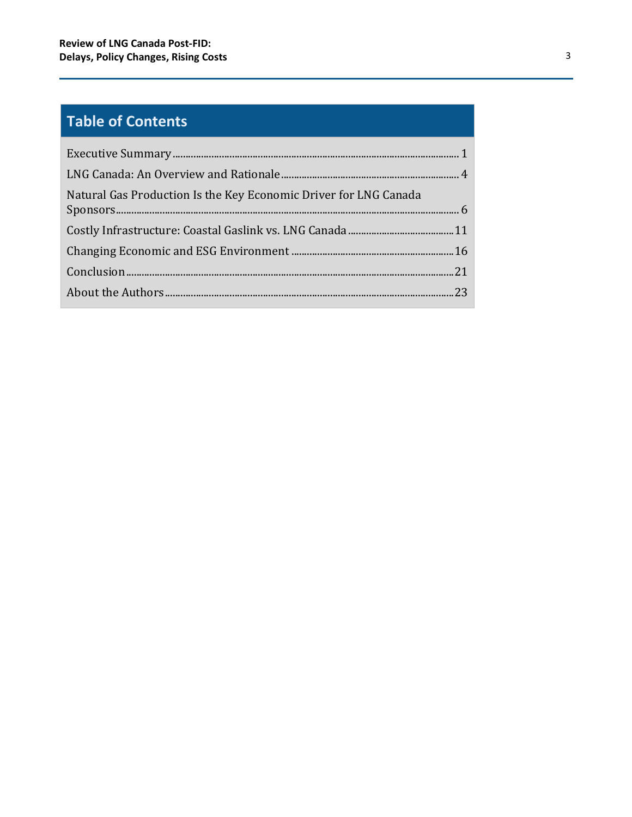# **Table of Contents**

| Natural Gas Production Is the Key Economic Driver for LNG Canada |  |
|------------------------------------------------------------------|--|
|                                                                  |  |
|                                                                  |  |
|                                                                  |  |
|                                                                  |  |
|                                                                  |  |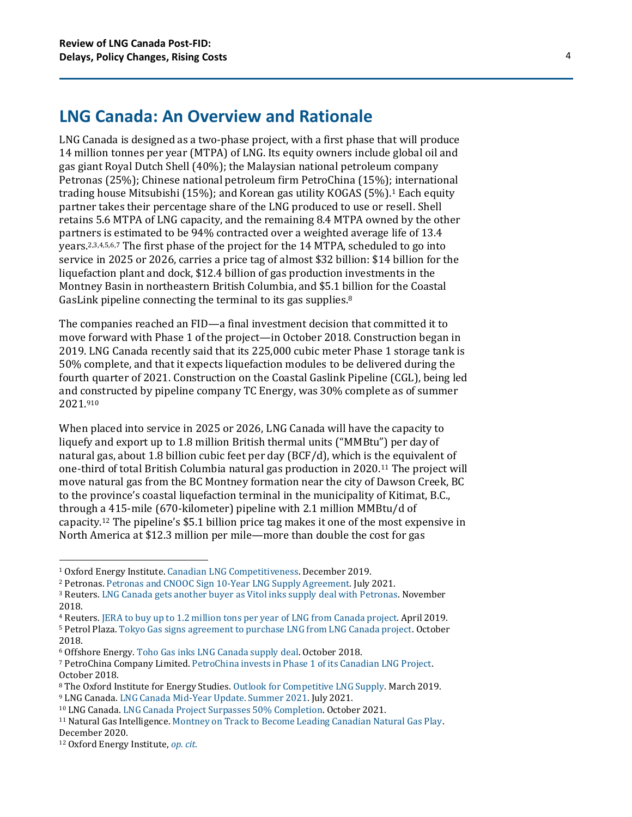### <span id="page-3-0"></span>**LNG Canada: An Overview and Rationale**

LNG Canada is designed as a two-phase project, with a first phase that will produce 14 million tonnes per year (MTPA) of LNG. Its equity owners include global oil and gas giant Royal Dutch Shell (40%); the Malaysian national petroleum company Petronas (25%); Chinese national petroleum firm PetroChina (15%); international trading house Mitsubishi (15%); and Korean gas utility KOGAS (5%).<sup>1</sup> Each equity partner takes their percentage share of the LNG produced to use or resell. Shell retains 5.6 MTPA of LNG capacity, and the remaining 8.4 MTPA owned by the other partners is estimated to be 94% contracted over a weighted average life of 13.4 years.2,3,4,5,6,7 The first phase of the project for the 14 MTPA, scheduled to go into service in 2025 or 2026, carries a price tag of almost \$32 billion: \$14 billion for the liquefaction plant and dock, \$12.4 billion of gas production investments in the Montney Basin in northeastern British Columbia, and \$5.1 billion for the Coastal GasLink pipeline connecting the terminal to its gas supplies.<sup>8</sup>

The companies reached an FID—a final investment decision that committed it to move forward with Phase 1 of the project—in October 2018. Construction began in 2019. LNG Canada recently said that its 225,000 cubic meter Phase 1 storage tank is 50% complete, and that it expects liquefaction modules to be delivered during the fourth quarter of 2021. Construction on the Coastal Gaslink Pipeline (CGL), being led and constructed by pipeline company TC Energy, was 30% complete as of summer 2021.<sup>910</sup>

When placed into service in 2025 or 2026, LNG Canada will have the capacity to liquefy and export up to 1.8 million British thermal units ("MMBtu") per day of natural gas, about 1.8 billion cubic feet per day (BCF/d), which is the equivalent of one-third of total British Columbia natural gas production in 2020. <sup>11</sup> The project will move natural gas from the BC Montney formation near the city of Dawson Creek, BC to the province's coastal liquefaction terminal in the municipality of Kitimat, B.C., through a 415-mile (670-kilometer) pipeline with 2.1 million MMBtu/d of capacity. <sup>12</sup> The pipeline's \$5.1 billion price tag makes it one of the most expensive in North America at \$12.3 million per mile—more than double the cost for gas

<sup>1</sup> Oxford Energy Institute. [Canadian LNG Competitiveness.](https://www.oxfordenergy.org/wpcms/wp-content/uploads/2019/12/Canadian-LNG-Competitiveness-NG-156.pdf) December 2019.

<sup>2</sup> Petronas. [Petronas and CNOOC Sign 10-Year LNG Supply Agreement.](https://www.petronas.com/media/press-release/petronas-and-cnooc-sign-10-year-lng-supply-agreement) July 2021.

<sup>3</sup> Reuters. [LNG Canada gets another buyer as Vitol inks supply deal with Petronas.](https://www.reuters.com/article/cbusiness-us-petronas-vitol-lng-idCAKCN1NY1EB-OCABS) November 2018.

<sup>4</sup> Reuters. JERA to buy up to 1.2 million [tons per year of LNG from Canada project.](https://www.reuters.com/article/us-lng-jera-shell-idUSKCN1RL0QA) April 2019.

<sup>5</sup> Petrol Plaza. [Tokyo Gas signs agreement to purchase LNG from LNG Canada project.](https://www.petrolplaza.com/news/9440) October 2018.

<sup>6</sup> Offshore Energy. [Toho Gas inks LNG Canada supply deal.](https://www.offshore-energy.biz/toho-gas-inks-lng-canada-supply-deal/) October 2018.

<sup>7</sup> PetroChina Company Limited. [PetroChina invests in Phase 1 of its Canadian LNG Project.](https://www.petrochina.com.cn/ptr/xwxx/201810/65154a850b644409858bccea55969711.shtml) October 2018.

<sup>8</sup> The Oxford Institute for Energy Studies. [Outlook for Competitive LNG Supply.](https://www.oxfordenergy.org/wpcms/wp-content/uploads/2019/03/Outlook-for-Competitive-LNG-Supply-NG-142.pdf) March 2019.

<sup>9</sup> LNG Canada. [LNG Canada Mid-Year Update.](https://www.lngcanada.ca/news/lng-canada-project-mid-year-update-summer-2021/) Summer 2021. July 2021.

<sup>10</sup> LNG Canada[. LNG Canada Project Surpasses 50% Completion.](https://www.lngcanada.ca/news/lng-canada-project-surpasses-50-completion/) October 2021.

<sup>11</sup> Natural Gas Intelligence. [Montney on Track to Become Leading Canadian Natural Gas Play.](https://www.naturalgasintel.com/montney-on-track-to-become-leading-canadian-natural-gas-play/) December 2020.

<sup>12</sup> Oxford Energy Institute, *[op. cit](https://www.oxfordenergy.org/wpcms/wp-content/uploads/2019/03/Outlook-for-Competitive-LNG-Supply-NG-142.pdf)*.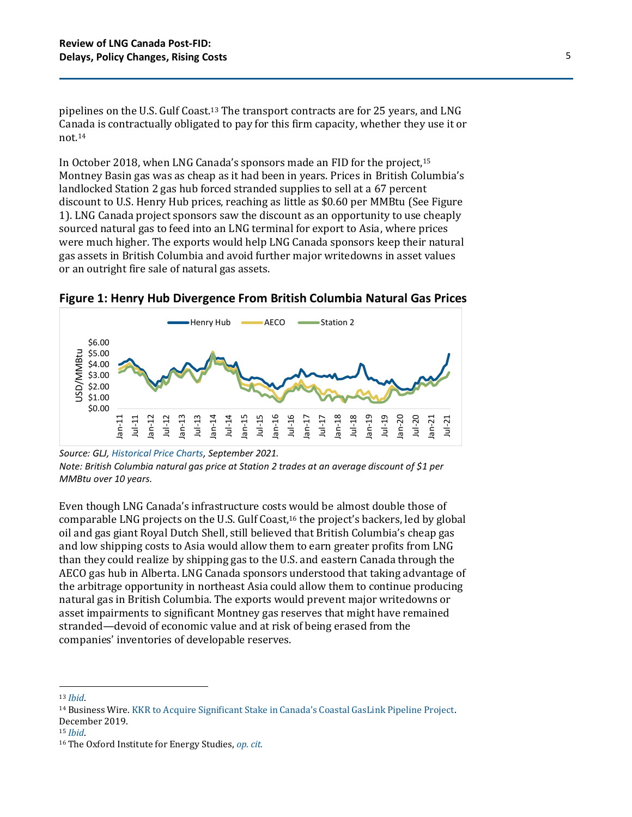pipelines on the U.S. Gulf Coast.<sup>13</sup> The transport contracts are for 25 years, and LNG Canada is contractually obligated to pay for this firm capacity, whether they use it or not. 14

In October 2018, when LNG Canada's sponsors made an FID for the project,<sup>15</sup> Montney Basin gas was as cheap as it had been in years. Prices in British Columbia's landlocked Station 2 gas hub forced stranded supplies to sell at a 67 percent discount to U.S. Henry Hub prices, reaching as little as \$0.60 per MMBtu (See Figure 1). LNG Canada project sponsors saw the discount as an opportunity to use cheaply sourced natural gas to feed into an LNG terminal for export to Asia, where prices were much higher. The exports would help LNG Canada sponsors keep their natural gas assets in British Columbia and avoid further major writedowns in asset values or an outright fire sale of natural gas assets.



**Figure 1: Henry Hub Divergence From British Columbia Natural Gas Prices**

*Note: British Columbia natural gas price at Station 2 trades at an average discount of \$1 per MMBtu over 10 years.*

Even though LNG Canada's infrastructure costs would be almost double those of comparable LNG projects on the U.S. Gulf Coast,<sup>16</sup> the project's backers, led by global oil and gas giant Royal Dutch Shell, still believed that British Columbia's cheap gas and low shipping costs to Asia would allow them to earn greater profits from LNG than they could realize by shipping gas to the U.S. and eastern Canada through the AECO gas hub in Alberta. LNG Canada sponsors understood that taking advantage of the arbitrage opportunity in northeast Asia could allow them to continue producing natural gas in British Columbia. The exports would prevent major writedowns or asset impairments to significant Montney gas reserves that might have remained stranded—devoid of economic value and at risk of being erased from the companies' inventories of developable reserves.

*Source: GLJ[, Historical Price Charts,](https://www.gljpc.com/price-charts) September 2021.* 

<sup>13</sup> *[Ibid](https://www.oxfordenergy.org/wpcms/wp-content/uploads/2019/03/Outlook-for-Competitive-LNG-Supply-NG-142.pdf)*.

<sup>14</sup> Business Wire. [KKR to Acquire Significant Stake in Canada's Coastal GasLink Pipeline Project](https://www.businesswire.com/news/home/20191226005038/en/KKR-to-Acquire-Significant-Stake-in-Canada%E2%80%99s-Coastal-GasLink-Pipeline-Project). December 2019.

<sup>15</sup> *[Ibid](https://www.businesswire.com/news/home/20191226005038/en/KKR-to-Acquire-Significant-Stake-in-Canada%E2%80%99s-Coastal-GasLink-Pipeline-Project)*.

<sup>16</sup> The Oxford Institute for Energy Studies, *[op. cit](https://www.oxfordenergy.org/wpcms/wp-content/uploads/2019/12/Canadian-LNG-Competitiveness-NG-156.pdf)*.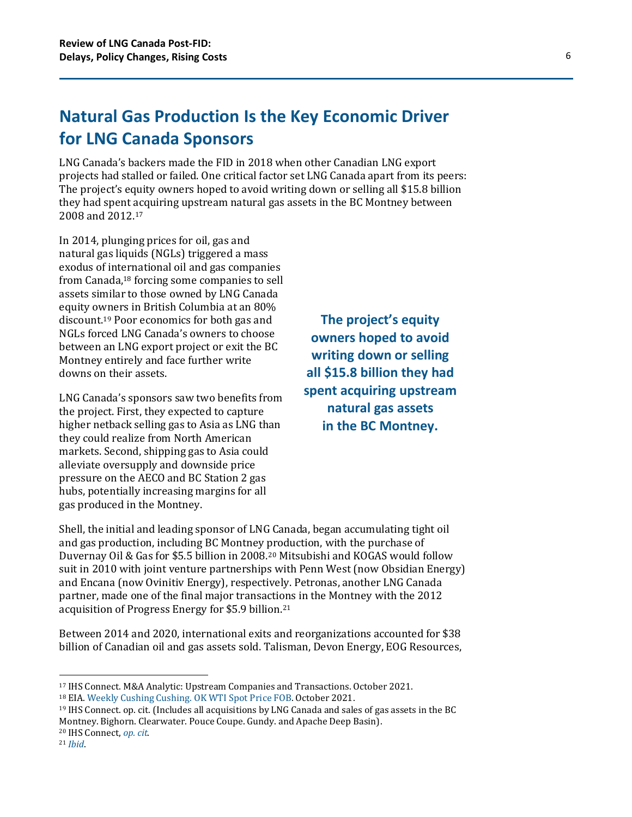# <span id="page-5-0"></span>**Natural Gas Production Is the Key Economic Driver for LNG Canada Sponsors**

LNG Canada's backers made the FID in 2018 when other Canadian LNG export projects had stalled or failed. One critical factor set LNG Canada apart from its peers: The project's equity owners hoped to avoid writing down or selling all \$15.8 billion they had spent acquiring upstream natural gas assets in the BC Montney between 2008 and 2012.<sup>17</sup>

In 2014, plunging prices for oil, gas and natural gas liquids (NGLs) triggered a mass exodus of international oil and gas companies from Canada, <sup>18</sup> forcing some companies to sell assets similar to those owned by LNG Canada equity owners in British Columbia at an 80% discount. <sup>19</sup> Poor economics for both gas and NGLs forced LNG Canada's owners to choose between an LNG export project or exit the BC Montney entirely and face further write downs on their assets.

LNG Canada's sponsors saw two benefits from the project. First, they expected to capture higher netback selling gas to Asia as LNG than they could realize from North American markets. Second, shipping gas to Asia could alleviate oversupply and downside price pressure on the AECO and BC Station 2 gas hubs, potentially increasing margins for all gas produced in the Montney.

**The project's equity owners hoped to avoid writing down or selling all \$15.8 billion they had spent acquiring upstream natural gas assets in the BC Montney.**

Shell, the initial and leading sponsor of LNG Canada, began accumulating tight oil and gas production, including BC Montney production, with the purchase of Duvernay Oil & Gas for \$5.5 billion in 2008. <sup>20</sup> Mitsubishi and KOGAS would follow suit in 2010 with joint venture partnerships with Penn West (now Obsidian Energy) and Encana (now Ovinitiv Energy), respectively. Petronas, another LNG Canada partner, made one of the final major transactions in the Montney with the 2012 acquisition of Progress Energy for \$5.9 billion. 21

Between 2014 and 2020, international exits and reorganizations accounted for \$38 billion of Canadian oil and gas assets sold. Talisman, Devon Energy, EOG Resources,

<sup>18</sup> EIA. [Weekly Cushing Cushing.](https://www.eia.gov/dnav/pet/hist/LeafHandler.ashx?n=pet&s=rwtc&f=w) OK WTI Spot Price FOB. October 2021.

<sup>19</sup> IHS Connect. op. cit. (Includes all acquisitions by LNG Canada and sales of gas assets in the BC Montney. Bighorn. Clearwater. Pouce Coupe. Gundy. and Apache Deep Basin). <sup>20</sup> IHS Connect, *[op. cit](https://connect.ihsmarkit.com/upstream/companies-transactions/transaction-research/analytics?tab=1PDealPricing&subtab=ProvDealPricing&callingUrl=https:%2F%2Fconnect.ihsmarkit.com%2Fupstream%2Fcompanies-transactions%2Ftransaction-research%2Fanalytics%3Ftab%3D1PDealPricing%26subtab%3DProvDealPricing)*.

<sup>17</sup> IHS Connect. M&A Analytic: Upstream Companies and Transactions. October 2021.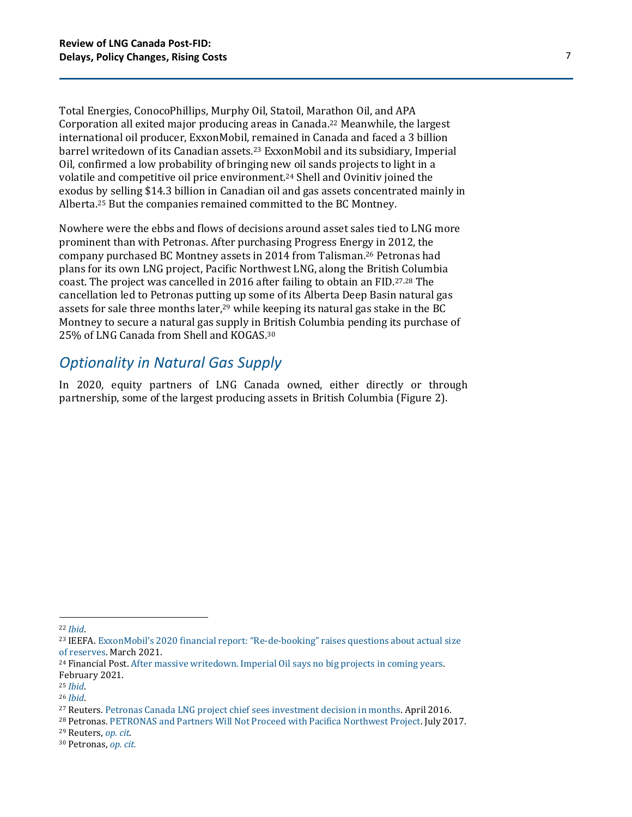Total Energies, ConocoPhillips, Murphy Oil, Statoil, Marathon Oil, and APA Corporation all exited major producing areas in Canada. <sup>22</sup> Meanwhile, the largest international oil producer, ExxonMobil, remained in Canada and faced a 3 billion barrel writedown of its Canadian assets.<sup>23</sup> ExxonMobil and its subsidiary, Imperial Oil, confirmed a low probability of bringing new oil sands projects to light in a volatile and competitive oil price environment.<sup>24</sup> Shell and Ovinitiv joined the exodus by selling \$14.3 billion in Canadian oil and gas assets concentrated mainly in Alberta. <sup>25</sup> But the companies remained committed to the BC Montney.

Nowhere were the ebbs and flows of decisions around asset sales tied to LNG more prominent than with Petronas. After purchasing Progress Energy in 2012, the company purchased BC Montney assets in 2014 from Talisman. <sup>26</sup> Petronas had plans for its own LNG project, Pacific Northwest LNG, along the British Columbia coast. The project was cancelled in 2016 after failing to obtain an FID.27,28 The cancellation led to Petronas putting up some of its Alberta Deep Basin natural gas assets for sale three months later, <sup>29</sup> while keeping its natural gas stake in the BC Montney to secure a natural gas supply in British Columbia pending its purchase of 25% of LNG Canada from Shell and KOGAS. 30

### *Optionality in Natural Gas Supply*

In 2020, equity partners of LNG Canada owned, either directly or through partnership, some of the largest producing assets in British Columbia (Figure 2).

<sup>22</sup> *[Ibid](https://connect.ihsmarkit.com/upstream/companies-transactions/transaction-research/analytics?tab=1PDealPricing&subtab=ProvDealPricing&callingUrl=https:%2F%2Fconnect.ihsmarkit.com%2Fupstream%2Fcompanies-transactions%2Ftransaction-research%2Fanalytics%3Ftab%3D1PDealPricing%26subtab%3DProvDealPricing)*.

<sup>23</sup> IEEFA. ExxonMobil's 2020 financial report: "Re-de-[booking" raises questions about actual size](https://ieefa.org/ieefa-u-s-exxonmobils-2020-financial-report-a-company-lost-re-de-booking-raises-questions-about-actual-size-of-exxonmobils-reserves/)  [of reserves.](https://ieefa.org/ieefa-u-s-exxonmobils-2020-financial-report-a-company-lost-re-de-booking-raises-questions-about-actual-size-of-exxonmobils-reserves/) March 2021.

<sup>&</sup>lt;sup>24</sup> Financial Post. After massive writedown. [Imperial Oil says no big projects in coming years.](https://financialpost.com/commodities/energy/after-massive-writedown-imperial-oil-says-no-big-projects-in-coming-years#:~:text=CALGARY%20%E2%80%93%20Imperial%20Oil%20Ltd.,to%20reverberate%20for%20some%20time.) February 2021.

<sup>25</sup> *[Ibid](https://financialpost.com/commodities/energy/after-massive-writedown-imperial-oil-says-no-big-projects-in-coming-years#:~:text=CALGARY%20%E2%80%93%20Imperial%20Oil%20Ltd.,to%20reverberate%20for%20some%20time.)*.

<sup>26</sup> *[Ibid](https://financialpost.com/commodities/energy/after-massive-writedown-imperial-oil-says-no-big-projects-in-coming-years#:~:text=CALGARY%20%E2%80%93%20Imperial%20Oil%20Ltd.,to%20reverberate%20for%20some%20time.)*.

<sup>27</sup> Reuters. [Petronas Canada LNG project chief sees investment decision in months.](https://www.reuters.com/article/cbusiness-us-petronas-lng-canada-idCAKCN0XQ0IR) April 2016.

<sup>28</sup> Petronas. [PETRONAS and Partners Will Not Proceed with Pacifica Northwest Project.](https://www.petronas.com/media/press-release/petronas-and-partners-will-not-proceed-pacific-northwest-lng-project) July 2017.

<sup>29</sup> Reuters, *[op. cit](https://www.reuters.com/article/cbusiness-us-petronas-lng-canada-idCAKCN0XQ0IR)*.

<sup>30</sup> Petronas, *[op. cit.](https://www.petronas.com/media/press-release/petronas-enters-agreement-acquire-25-cent-equity-lng-canada-project)*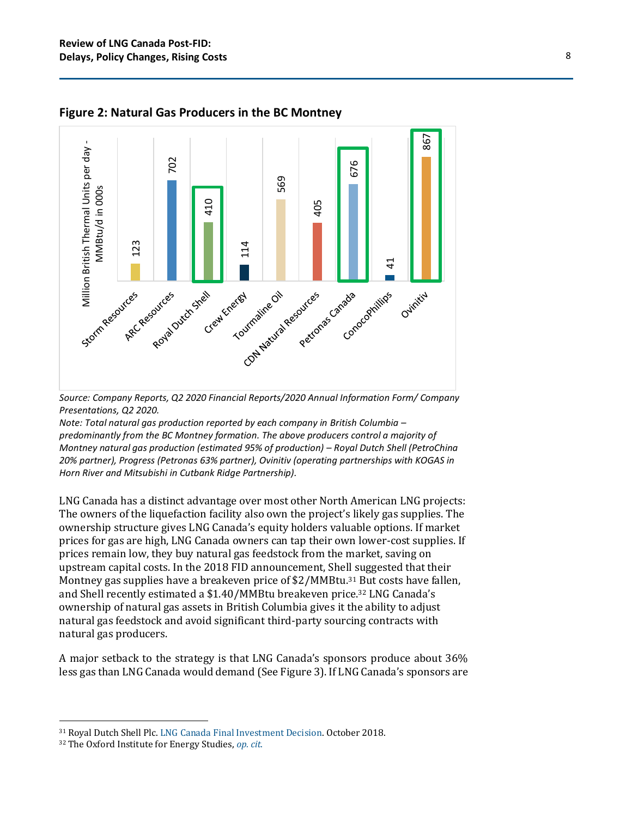

**Figure 2: Natural Gas Producers in the BC Montney**

*Source: Company Reports, Q2 2020 Financial Reports/2020 Annual Information Form/ Company Presentations, Q2 2020.* 

*Note: Total natural gas production reported by each company in British Columbia – predominantly from the BC Montney formation. The above producers control a majority of Montney natural gas production (estimated 95% of production) – Royal Dutch Shell (PetroChina 20% partner), Progress (Petronas 63% partner), Ovinitiv (operating partnerships with KOGAS in Horn River and Mitsubishi in Cutbank Ridge Partnership).*

LNG Canada has a distinct advantage over most other North American LNG projects: The owners of the liquefaction facility also own the project's likely gas supplies. The ownership structure gives LNG Canada's equity holders valuable options. If market prices for gas are high, LNG Canada owners can tap their own lower-cost supplies. If prices remain low, they buy natural gas feedstock from the market, saving on upstream capital costs. In the 2018 FID announcement, Shell suggested that their Montney gas supplies have a breakeven price of \$2/MMBtu.<sup>31</sup> But costs have fallen, and Shell recently estimated a \$1.40/MMBtu breakeven price.<sup>32</sup> LNG Canada's ownership of natural gas assets in British Columbia gives it the ability to adjust natural gas feedstock and avoid significant third-party sourcing contracts with natural gas producers.

A major setback to the strategy is that LNG Canada's sponsors produce about 36% less gas than LNG Canada would demand (See Figure 3). If LNG Canada's sponsors are

<sup>31</sup> Royal Dutch Shell Plc[. LNG Canada Final Investment Decision.](https://www.shell.com/investors/investor-presentations/2018-investor-presentations/shell-gives-green-light-to-invest-in-lng-canada-webcast/_jcr_content/par/textimage_a5ec.stream/1538492184003/1f1dff3c3da450c7c905eefb52874e863f791380/shell-lng-canada-webcast-transcript.pdf) October 2018.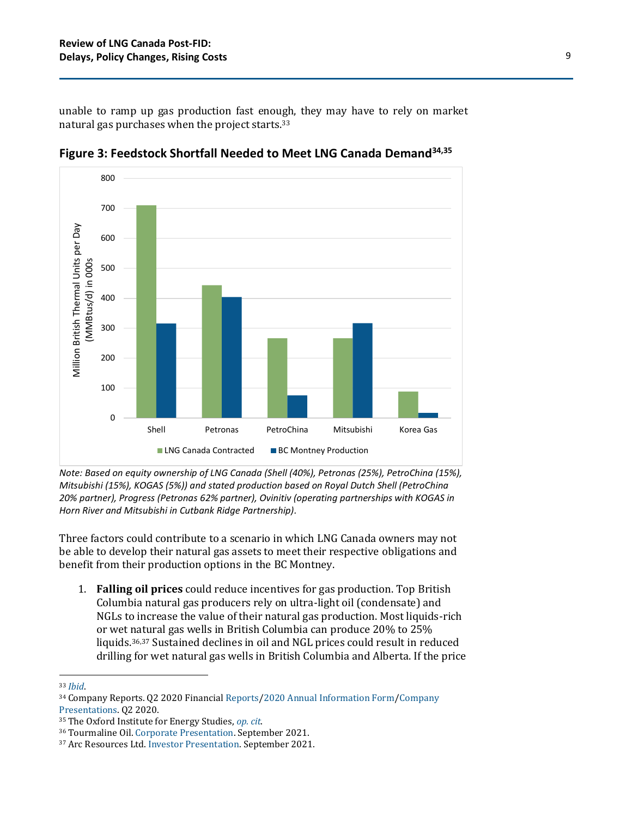unable to ramp up gas production fast enough, they may have to rely on market natural gas purchases when the project starts. 33



**Figure 3: Feedstock Shortfall Needed to Meet LNG Canada Demand34,35**

*Note: Based on equity ownership of LNG Canada (Shell (40%), Petronas (25%), PetroChina (15%), Mitsubishi (15%), KOGAS (5%)) and stated production based on Royal Dutch Shell (PetroChina 20% partner), Progress (Petronas 62% partner), Ovinitiv (operating partnerships with KOGAS in Horn River and Mitsubishi in Cutbank Ridge Partnership).*

Three factors could contribute to a scenario in which LNG Canada owners may not be able to develop their natural gas assets to meet their respective obligations and benefit from their production options in the BC Montney.

1. **Falling oil prices** could reduce incentives for gas production. Top British Columbia natural gas producers rely on ultra-light oil (condensate) and NGLs to increase the value of their natural gas production. Most liquids-rich or wet natural gas wells in British Columbia can produce 20% to 25% liquids.36,37 Sustained declines in oil and NGL prices could result in reduced drilling for wet natural gas wells in British Columbia and Alberta. If the price

<sup>33</sup> *[Ibid](https://www.oxfordenergy.org/wpcms/wp-content/uploads/2019/12/Canadian-LNG-Competitiveness-NG-156.pdf)*.

<sup>34</sup> Company Reports. Q2 2020 Financia[l Reports](https://www.tdsresearch.com/equities/openEmailedReportPdf.action?emailKey=9d69013f-e189-4e09-88fc-715e3ee53391)[/2020 Annual Information Form/](https://www.ovintiv.com/wp-content/uploads/2021/03/ovintiv-2020-annual-report.pdf)[Company](https://www.shell.ca/en_ca/about-us/projects-and-sites/groundbirch/about-groundbirch.html#:~:text=Go-,Overview,of%20more%20than%2035%20years.) 

[Presentations.](https://www.shell.ca/en_ca/about-us/projects-and-sites/groundbirch/about-groundbirch.html#:~:text=Go-,Overview,of%20more%20than%2035%20years.) Q2 2020.

<sup>35</sup> The Oxford Institute for Energy Studies, *[op. cit](https://www.oxfordenergy.org/wpcms/wp-content/uploads/2019/12/Canadian-LNG-Competitiveness-NG-156.pdf)*.

<sup>36</sup> Tourmaline Oil. [Corporate Presentation.](https://www.tourmalineoil.com/wp-content/uploads/2021/09/Tourmaline-Oil-Corp-Overview-September-22.pdf) September 2021.

<sup>37</sup> Arc Resources Ltd. [Investor Presentation.](https://www.arcresources.com/assets/pdf/ARC-Resources-Ltd.-September-2021-Investor-Presentation.pdf) September 2021.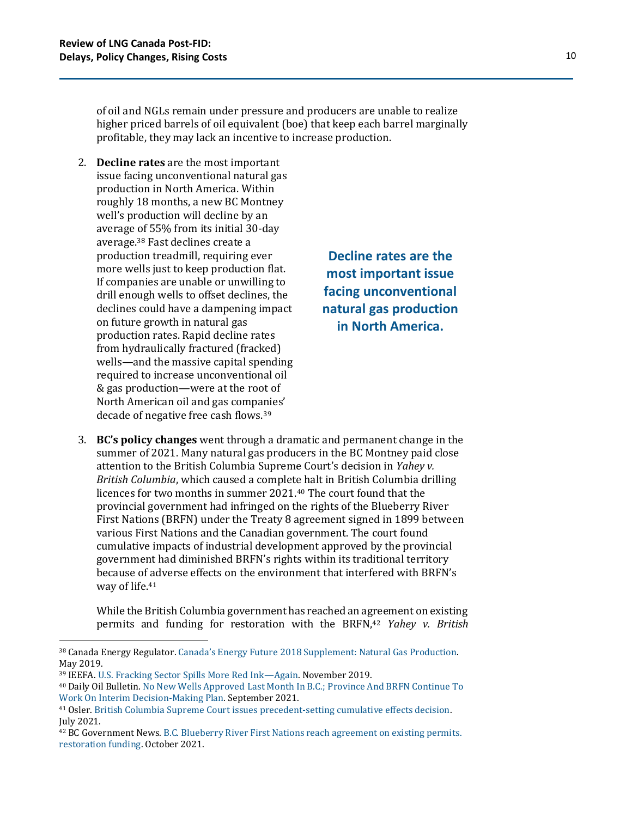of oil and NGLs remain under pressure and producers are unable to realize higher priced barrels of oil equivalent (boe) that keep each barrel marginally profitable, they may lack an incentive to increase production.

2. **Decline rates** are the most important issue facing unconventional natural gas production in North America. Within roughly 18 months, a new BC Montney well's production will decline by an average of 55% from its initial 30-day average. <sup>38</sup> Fast declines create a production treadmill, requiring ever more wells just to keep production flat. If companies are unable or unwilling to drill enough wells to offset declines, the declines could have a dampening impact on future growth in natural gas production rates. Rapid decline rates from hydraulically fractured (fracked) wells—and the massive capital spending required to increase unconventional oil & gas production—were at the root of North American oil and gas companies' decade of negative free cash flows.<sup>39</sup>

**Decline rates are the most important issue facing unconventional natural gas production in North America.**

3. **BC's policy changes** went through a dramatic and permanent change in the summer of 2021. Many natural gas producers in the BC Montney paid close attention to the British Columbia Supreme Court's decision in *Yahey v. British Columbia*, which caused a complete halt in British Columbia drilling licences for two months in summer 2021. <sup>40</sup> The court found that the provincial government had infringed on the rights of the Blueberry River First Nations (BRFN) under the Treaty 8 agreement signed in 1899 between various First Nations and the Canadian government. The court found cumulative impacts of industrial development approved by the provincial government had diminished BRFN's rights within its traditional territory because of adverse effects on the environment that interfered with BRFN's way of life. 41

While the British Columbia government has reached an agreement on existing permits and funding for restoration with the BRFN, <sup>42</sup> *Yahey v. British* 

<sup>38</sup> Canada Energy Regulator. [Canada's Energy Future 2018 Supplement: Natural Gas Production](https://www.cer-rec.gc.ca/en/data-analysis/canada-energy-future/2018-natural-gas/index.html#s3). May 2019.

<sup>39</sup> IEEFA. [U.S. Fracking Sector Spills More Red Ink](https://ieefa.org/wp-content/uploads/2019/11/US-Fracking-Sector-Spills-More-Red-Ink-Again.pdf)—Again. November 2019.

<sup>40</sup> Daily Oil Bulletin. [No New Wells Approved Last Month In B.C.; Province And BRFN Continue To](https://www.dailyoilbulletin.com/article/2021/9/15/no-new-wells-approved-last-month-in-bc-province-an/)  [Work On Interim Decision-Making Plan.](https://www.dailyoilbulletin.com/article/2021/9/15/no-new-wells-approved-last-month-in-bc-province-an/) September 2021.

<sup>41</sup> Osler. [British Columbia Supreme Court issues precedent-setting cumulative effects decision.](https://www.osler.com/en/resources/regulations/2021/british-columbia-supreme-court-issues-precedent-setting-cumulative-effects-decision) July 2021.

<sup>42</sup> BC Government News. [B.C. Blueberry River First Nations reach agreement on existing permits.](https://news.gov.bc.ca/releases/2021IRR0063-001940#:~:text=Under%20the%20agreement%2C%20the%20Province,providers%20in%20the%20northeast%20region.) [restoration funding.](https://news.gov.bc.ca/releases/2021IRR0063-001940#:~:text=Under%20the%20agreement%2C%20the%20Province,providers%20in%20the%20northeast%20region.) October 2021.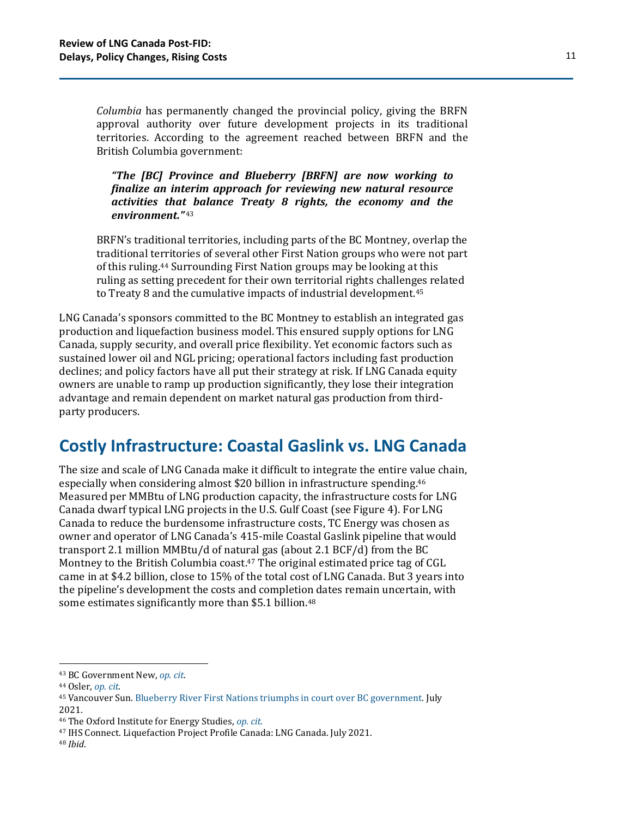*Columbia* has permanently changed the provincial policy, giving the BRFN approval authority over future development projects in its traditional territories. According to the agreement reached between BRFN and the British Columbia government:

*"The [BC] Province and Blueberry [BRFN] are now working to finalize an interim approach for reviewing new natural resource activities that balance Treaty 8 rights, the economy and the environment."* <sup>43</sup>

BRFN's traditional territories, including parts of the BC Montney, overlap the traditional territories of several other First Nation groups who were not part of this ruling. <sup>44</sup> Surrounding First Nation groups may be looking at this ruling as setting precedent for their own territorial rights challenges related to Treaty 8 and the cumulative impacts of industrial development.<sup>45</sup>

LNG Canada's sponsors committed to the BC Montney to establish an integrated gas production and liquefaction business model. This ensured supply options for LNG Canada, supply security, and overall price flexibility. Yet economic factors such as sustained lower oil and NGL pricing; operational factors including fast production declines; and policy factors have all put their strategy at risk. If LNG Canada equity owners are unable to ramp up production significantly, they lose their integration advantage and remain dependent on market natural gas production from thirdparty producers.

# <span id="page-10-0"></span>**Costly Infrastructure: Coastal Gaslink vs. LNG Canada**

The size and scale of LNG Canada make it difficult to integrate the entire value chain, especially when considering almost \$20 billion in infrastructure spending. 46 Measured per MMBtu of LNG production capacity, the infrastructure costs for LNG Canada dwarf typical LNG projects in the U.S. Gulf Coast (see Figure 4). For LNG Canada to reduce the burdensome infrastructure costs, TC Energy was chosen as owner and operator of LNG Canada's 415-mile Coastal Gaslink pipeline that would transport 2.1 million MMBtu/d of natural gas (about 2.1 BCF/d) from the BC Montney to the British Columbia coast. <sup>47</sup> The original estimated price tag of CGL came in at \$4.2 billion, close to 15% of the total cost of LNG Canada. But 3 years into the pipeline's development the costs and completion dates remain uncertain, with some estimates significantly more than \$5.1 billion.<sup>48</sup>

<sup>43</sup> BC Government New, *[op. cit](https://news.gov.bc.ca/releases/2021IRR0063-001940#:~:text=Under%20the%20agreement%2C%20the%20Province,providers%20in%20the%20northeast%20region.)*.

<sup>44</sup> Osler, *[op. cit](https://www.osler.com/en/resources/regulations/2021/british-columbia-supreme-court-issues-precedent-setting-cumulative-effects-decision)*.

<sup>45</sup> Vancouver Sun. [Blueberry River First Nations triumphs in court over BC government.](https://vancouversun.com/opinion/columnists/vaughn-palmer-blueberry-first-nations-triumphs-in-court-over-b-c-government) July 2021.

<sup>46</sup> The Oxford Institute for Energy Studies, *[op.](https://www.oxfordenergy.org/wpcms/wp-content/uploads/2019/03/Outlook-for-Competitive-LNG-Supply-NG-142.pdf) cit*.

<sup>47</sup> IHS Connect. Liquefaction Project Profile Canada: LNG Canada. July 2021.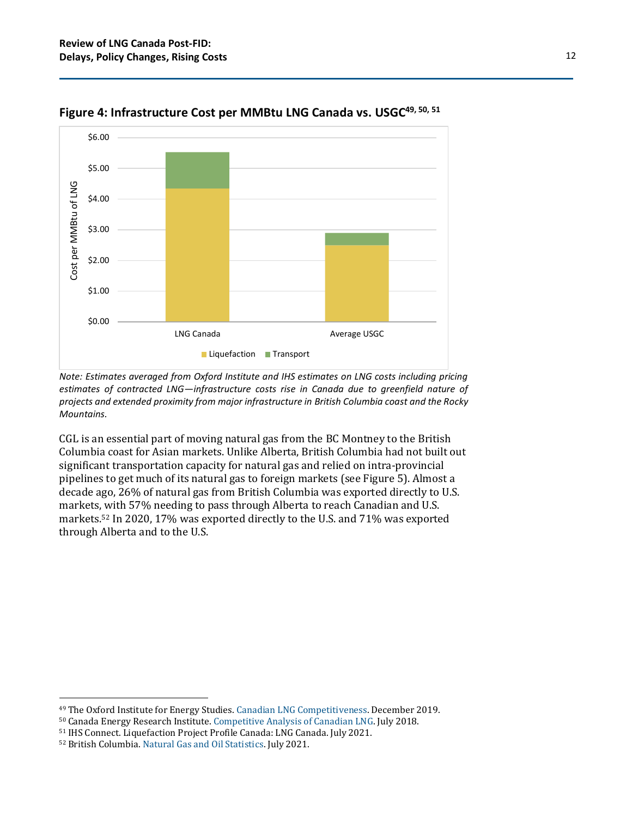

**Figure 4: Infrastructure Cost per MMBtu LNG Canada vs. USGC49, 50, 51**

CGL is an essential part of moving natural gas from the BC Montney to the British Columbia coast for Asian markets. Unlike Alberta, British Columbia had not built out significant transportation capacity for natural gas and relied on intra-provincial pipelines to get much of its natural gas to foreign markets (see Figure 5). Almost a decade ago, 26% of natural gas from British Columbia was exported directly to U.S. markets, with 57% needing to pass through Alberta to reach Canadian and U.S. markets. <sup>52</sup> In 2020, 17% was exported directly to the U.S. and 71% was exported through Alberta and to the U.S.

*Note: Estimates averaged from Oxford Institute and IHS estimates on LNG costs including pricing estimates of contracted LNG—infrastructure costs rise in Canada due to greenfield nature of projects and extended proximity from major infrastructure in British Columbia coast and the Rocky Mountains.* 

<sup>49</sup> The Oxford Institute for Energy Studies. [Canadian LNG Competitiveness.](https://www.oxfordenergy.org/wpcms/wp-content/uploads/2019/12/Canadian-LNG-Competitiveness-NG-156.pdf) December 2019.

<sup>50</sup> Canada Energy Research Institute. [Competitive Analysis of Canadian LNG.](https://ceri.ca/assets/files/Study_172_Full_Report.pdf) July 2018.

<sup>51</sup> IHS Connect. Liquefaction Project Profile Canada: LNG Canada. July 2021.

<sup>52</sup> British Columbia. [Natural Gas and Oil Statistics.](https://www2.gov.bc.ca/gov/content/industry/natural-gas-oil/statistics) July 2021.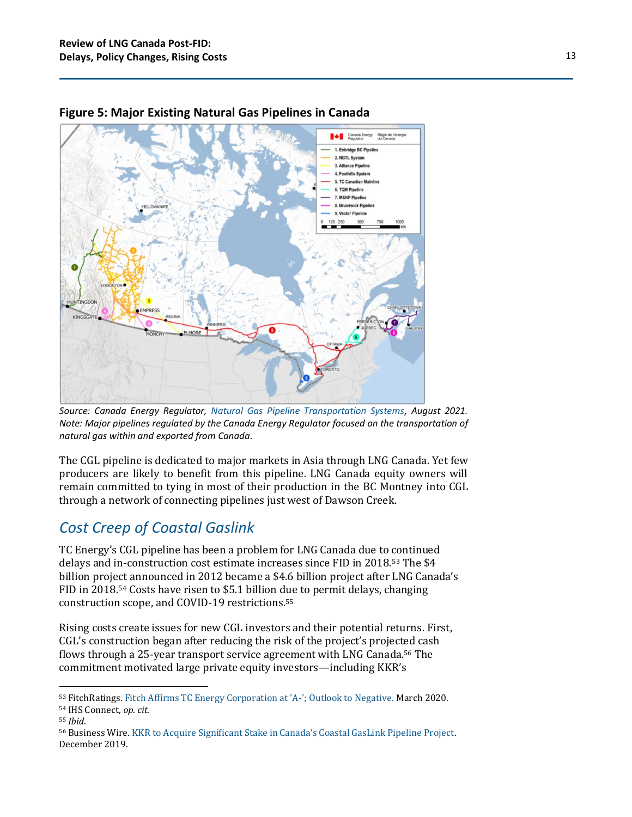

#### **Figure 5: Major Existing Natural Gas Pipelines in Canada**

*Source: Canada Energy Regulator, [Natural Gas Pipeline Transportation Systems,](https://www.cer-rec.gc.ca/en/data-analysis/facilities-we-regulate/canadas-pipeline-system/2021/natural-gas-pipeline-transportation-system.html) August 2021. Note: Major pipelines regulated by the Canada Energy Regulator focused on the transportation of natural gas within and exported from Canada.* 

The CGL pipeline is dedicated to major markets in Asia through LNG Canada. Yet few producers are likely to benefit from this pipeline. LNG Canada equity owners will remain committed to tying in most of their production in the BC Montney into CGL through a network of connecting pipelines just west of Dawson Creek.

### *Cost Creep of Coastal Gaslink*

TC Energy's CGL pipeline has been a problem for LNG Canada due to continued delays and in-construction cost estimate increases since FID in 2018.<sup>53</sup> The \$4 billion project announced in 2012 became a \$4.6 billion project after LNG Canada's FID in 2018. <sup>54</sup> Costs have risen to \$5.1 billion due to permit delays, changing construction scope, and COVID-19 restrictions. 55

Rising costs create issues for new CGL investors and their potential returns. First, CGL's construction began after reducing the risk of the project's projected cash flows through a 25-year transport service agreement with LNG Canada. <sup>56</sup> The commitment motivated large private equity investors—including KKR's

<sup>54</sup> IHS Connect, *op. cit*.

<sup>53</sup> FitchRatings. [Fitch Affirms TC Energy Corporation at 'A-'; Outlook to Negative.](https://www.fitchratings.com/research/corporate-finance/fitch-affirms-tc-energy-corporation-at-a-outlook-to-negative-31-03-2020) March 2020.

<sup>55</sup> *Ibid*.

<sup>56</sup> Business Wire. [KKR to Acquire Significant Stake in Canada's Coastal GasLink Pipeline Project](https://www.businesswire.com/news/home/20191226005038/en/KKR-to-Acquire-Significant-Stake-in-Canada%E2%80%99s-Coastal-GasLink-Pipeline-Project). December 2019.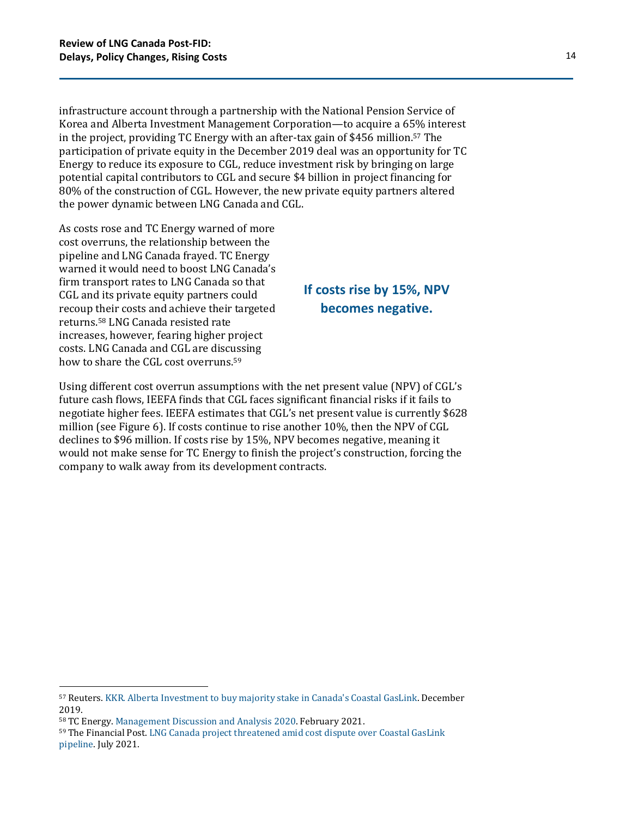infrastructure account through a partnership with the National Pension Service of Korea and Alberta Investment Management Corporation—to acquire a 65% interest in the project, providing TC Energy with an after-tax gain of \$456 million. <sup>57</sup> The participation of private equity in the December 2019 deal was an opportunity for TC Energy to reduce its exposure to CGL, reduce investment risk by bringing on large potential capital contributors to CGL and secure \$4 billion in project financing for 80% of the construction of CGL. However, the new private equity partners altered the power dynamic between LNG Canada and CGL.

As costs rose and TC Energy warned of more cost overruns, the relationship between the pipeline and LNG Canada frayed. TC Energy warned it would need to boost LNG Canada's firm transport rates to LNG Canada so that CGL and its private equity partners could recoup their costs and achieve their targeted returns.<sup>58</sup> LNG Canada resisted rate increases, however, fearing higher project costs. LNG Canada and CGL are discussing how to share the CGL cost overruns. 59

#### **If costs rise by 15%, NPV becomes negative.**

Using different cost overrun assumptions with the net present value (NPV) of CGL's future cash flows, IEEFA finds that CGL faces significant financial risks if it fails to negotiate higher fees. IEEFA estimates that CGL's net present value is currently \$628 million (see Figure 6). If costs continue to rise another 10%, then the NPV of CGL declines to \$96 million. If costs rise by 15%, NPV becomes negative, meaning it would not make sense for TC Energy to finish the project's construction, forcing the company to walk away from its development contracts.

<sup>57</sup> Reuters. KKR. [Alberta Investment to buy majority stake in Canada's Coastal GasLink.](https://www.reuters.com/article/us-tc-energy-pipeline-kkr-idUSKBN1YU0PL) December 2019.

<sup>58</sup> TC Energy. [Management Discussion and Analysis 2020.](https://www.tcenergy.com/siteassets/pdfs/investors/reports-and-filings/regulatory-filings/2020/tc-2020-management-discussion-analysis.pdf) February 2021.

<sup>59</sup> The Financial Post. [LNG Canada project threatened amid cost dispute over Coastal GasLink](https://financialpost.com/commodities/energy/oil-gas/shell-lng-project-threatened-amid-cost-dispute-over-gas-pipeline)  [pipeline.](https://financialpost.com/commodities/energy/oil-gas/shell-lng-project-threatened-amid-cost-dispute-over-gas-pipeline) July 2021.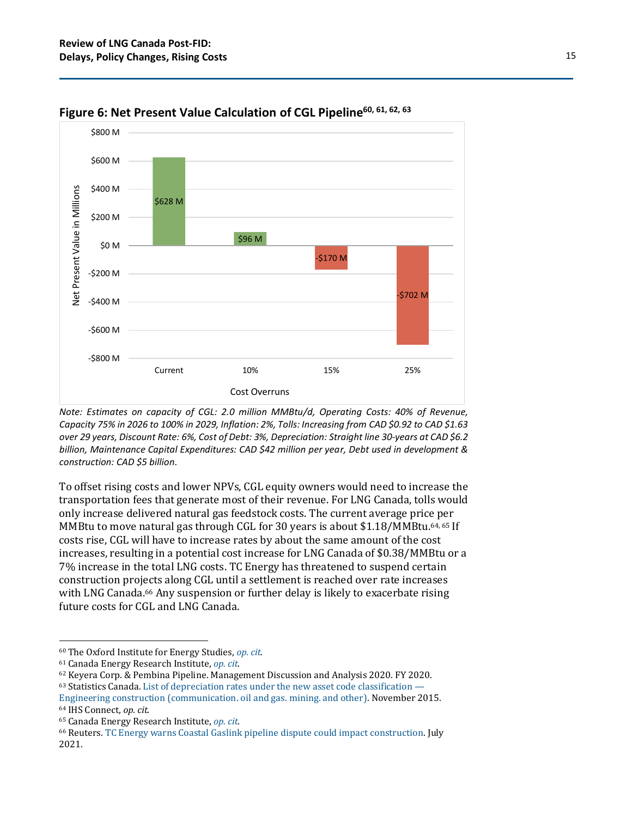

**Figure 6: Net Present Value Calculation of CGL Pipeline60, 61, 62, 63**

*Note: Estimates on capacity of CGL: 2.0 million MMBtu/d, Operating Costs: 40% of Revenue, Capacity 75% in 2026 to 100% in 2029, Inflation: 2%, Tolls: Increasing from CAD \$0.92 to CAD \$1.63 over 29 years, Discount Rate: 6%, Cost of Debt: 3%, Depreciation: Straight line 30-years at CAD \$6.2 billion, Maintenance Capital Expenditures: CAD \$42 million per year, Debt used in development & construction: CAD \$5 billion.* 

To offset rising costs and lower NPVs, CGL equity owners would need to increase the transportation fees that generate most of their revenue. For LNG Canada, tolls would only increase delivered natural gas feedstock costs. The current average price per MMBtu to move natural gas through CGL for 30 years is about \$1.18/MMBtu.<sup>64, 65</sup> If costs rise, CGL will have to increase rates by about the same amount of the cost increases, resulting in a potential cost increase for LNG Canada of \$0.38/MMBtu or a 7% increase in the total LNG costs. TC Energy has threatened to suspend certain construction projects along CGL until a settlement is reached over rate increases with LNG Canada. <sup>66</sup> Any suspension or further delay is likely to exacerbate rising future costs for CGL and LNG Canada.

<sup>60</sup> The Oxford Institute for Energy Studies, *[op. cit.](https://www.oxfordenergy.org/wpcms/wp-content/uploads/2019/12/Canadian-LNG-Competitiveness-NG-156.pdf)*

<sup>61</sup> Canada Energy Research Institute, *[op. cit](https://ceri.ca/assets/files/Study_172_Full_Report.pdf)*.

<sup>62</sup> Keyera Corp. & Pembina Pipeline. Management Discussion and Analysis 2020. FY 2020.

 $63$  Statistics Canada. [List of depreciation rates under the new asset code classification](https://www150.statcan.gc.ca/n1/pub/15-206-x/2015039/t/tblc13-eng.htm)  $-$ 

[Engineering construction \(communication.](https://www150.statcan.gc.ca/n1/pub/15-206-x/2015039/t/tblc13-eng.htm) oil and gas. mining. and other). November 2015. <sup>64</sup> IHS Connect, *op. cit*.

<sup>65</sup> Canada Energy Research Institute, *[op. cit](https://ceri.ca/assets/files/Study_172_Full_Report.pdf)*.

<sup>66</sup> Reuters. [TC Energy warns Coastal Gaslink pipeline dispute could impact construction.](https://www.reuters.com/business/energy/tc-energy-posts-second-quarter-profit-fuel-demand-recovery-boosts-volume-2021-07-29/) July 2021.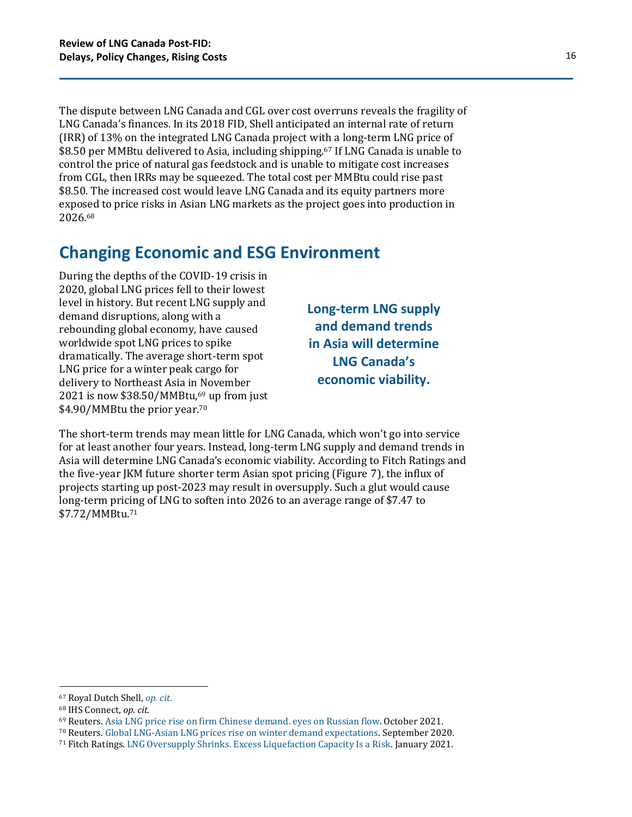The dispute between LNG Canada and CGL over cost overruns reveals the fragility of LNG Canada's finances. In its 2018 FID, Shell anticipated an internal rate of return (IRR) of 13% on the integrated LNG Canada project with a long-term LNG price of \$8.50 per MMBtu delivered to Asia, including shipping. <sup>67</sup> If LNG Canada is unable to control the price of natural gas feedstock and is unable to mitigate cost increases from CGL, then IRRs may be squeezed. The total cost per MMBtu could rise past \$8.50. The increased cost would leave LNG Canada and its equity partners more exposed to price risks in Asian LNG markets as the project goes into production in 2026. 68

### <span id="page-15-0"></span>**Changing Economic and ESG Environment**

During the depths of the COVID-19 crisis in 2020, global LNG prices fell to their lowest level in history. But recent LNG supply and demand disruptions, along with a rebounding global economy, have caused worldwide spot LNG prices to spike dramatically. The average short-term spot LNG price for a winter peak cargo for delivery to Northeast Asia in November 2021 is now  $$38.50/MMBtu,$ <sup>69</sup> up from just \$4.90/MMBtu the prior year.<sup>70</sup>

**Long-term LNG supply and demand trends in Asia will determine LNG Canada's economic viability.**

The short-term trends may mean little for LNG Canada, which won't go into service for at least another four years. Instead, long-term LNG supply and demand trends in Asia will determine LNG Canada's economic viability. According to Fitch Ratings and the five-year JKM future shorter term Asian spot pricing (Figure 7), the influx of projects starting up post-2023 may result in oversupply. Such a glut would cause long-term pricing of LNG to soften into 2026 to an average range of \$7.47 to \$7.72/MMBtu.<sup>71</sup>

<sup>67</sup> Royal Dutch Shell, *[op.](https://www.shell.com/media/news-and-media-releases/2018/shell-gives-green-light-to-invest-in-lng-canada/_jcr_content/par/textimage_5acb.stream/1538482386925/9ccced0b76145d965a12fdbcdb59135a6520a650/lng-canada-fid-webcast-01102018.pdf) cit*.

<sup>68</sup> IHS Connect, *op. cit*.

<sup>69</sup> Reuters. [Asia LNG price rise on firm Chinese demand.](https://www.reuters.com/business/energy/asia-lng-price-rise-firm-chinese-demand-eyes-russian-flow-2021-10-15/) eyes on Russian flow. October 2021.

<sup>70</sup> Reuters. [Global LNG-Asian LNG prices rise on winter demand expectations.](https://www.reuters.com/article/global-lng-idINL5N2GM3YZ) September 2020.

<sup>71</sup> Fitch Ratings. LNG Oversupply Shrinks. [Excess Liquefaction Capacity Is a Risk.](https://www.fitchratings.com/research/corporate-finance/lng-oversupply-shrinks-excess-liquefaction-capacity-is-risk-18-01-2021) January 2021.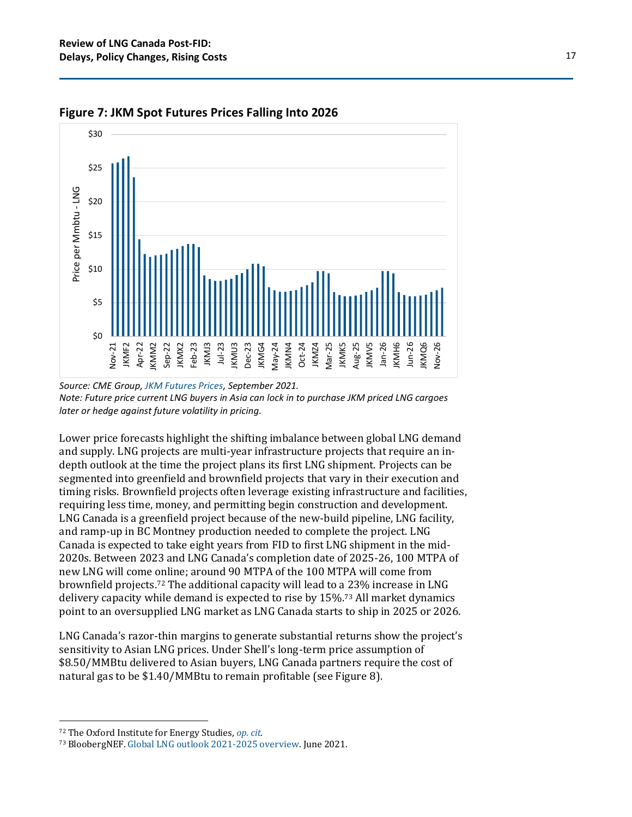

**Figure 7: JKM Spot Futures Prices Falling Into 2026**

Lower price forecasts highlight the shifting imbalance between global LNG demand and supply. LNG projects are multi-year infrastructure projects that require an indepth outlook at the time the project plans its first LNG shipment. Projects can be segmented into greenfield and brownfield projects that vary in their execution and timing risks. Brownfield projects often leverage existing infrastructure and facilities, requiring less time, money, and permitting begin construction and development. LNG Canada is a greenfield project because of the new-build pipeline, LNG facility, and ramp-up in BC Montney production needed to complete the project. LNG Canada is expected to take eight years from FID to first LNG shipment in the mid-2020s. Between 2023 and LNG Canada's completion date of 2025-26, 100 MTPA of new LNG will come online; around 90 MTPA of the 100 MTPA will come from brownfield projects. <sup>72</sup> The additional capacity will lead to a 23% increase in LNG delivery capacity while demand is expected to rise by 15%. <sup>73</sup> All market dynamics point to an oversupplied LNG market as LNG Canada starts to ship in 2025 or 2026.

LNG Canada's razor-thin margins to generate substantial returns show the project's sensitivity to Asian LNG prices. Under Shell's long-term price assumption of \$8.50/MMBtu delivered to Asian buyers, LNG Canada partners require the cost of natural gas to be \$1.40/MMBtu to remain profitable (see Figure 8).

*Source: CME Group[, JKM Futures Prices,](https://www.cmegroup.com/trading/about-quotes.html) September 2021. Note: Future price current LNG buyers in Asia can lock in to purchase JKM priced LNG cargoes later or hedge against future volatility in pricing.* 

<sup>72</sup> The Oxford Institute for Energy Studies, *[op.](https://www.oxfordenergy.org/wpcms/wp-content/uploads/2019/03/Outlook-for-Competitive-LNG-Supply-NG-142.pdf) cit*.

<sup>73</sup> BloobergNEF. [Global LNG outlook 2021-2025 overview.](https://www.bloomberg.com/professional/blog/global-lng-outlook-2021-25-overview/) June 2021.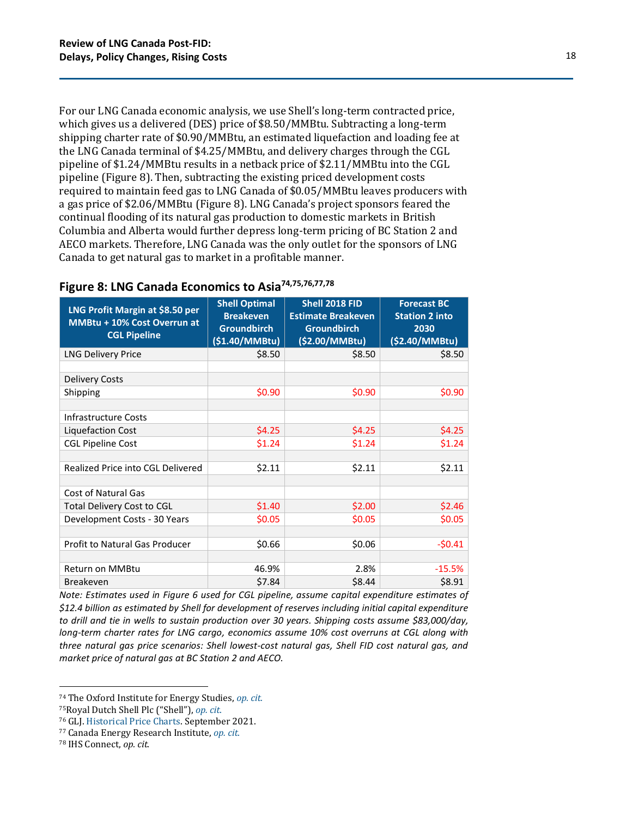For our LNG Canada economic analysis, we use Shell's long-term contracted price, which gives us a delivered (DES) price of \$8.50/MMBtu. Subtracting a long-term shipping charter rate of \$0.90/MMBtu, an estimated liquefaction and loading fee at the LNG Canada terminal of \$4.25/MMBtu, and delivery charges through the CGL pipeline of \$1.24/MMBtu results in a netback price of \$2.11/MMBtu into the CGL pipeline (Figure 8). Then, subtracting the existing priced development costs required to maintain feed gas to LNG Canada of \$0.05/MMBtu leaves producers with a gas price of \$2.06/MMBtu (Figure 8). LNG Canada's project sponsors feared the continual flooding of its natural gas production to domestic markets in British Columbia and Alberta would further depress long-term pricing of BC Station 2 and AECO markets. Therefore, LNG Canada was the only outlet for the sponsors of LNG Canada to get natural gas to market in a profitable manner.

| LNG Profit Margin at \$8.50 per<br>MMBtu + 10% Cost Overrun at<br><b>CGL Pipeline</b> | <b>Shell Optimal</b><br><b>Breakeven</b><br><b>Groundbirch</b><br>(\$1.40/MMBtu) | Shell 2018 FID<br><b>Estimate Breakeven</b><br><b>Groundbirch</b><br>(\$2.00/MMBtu) | <b>Forecast BC</b><br><b>Station 2 into</b><br>2030<br>(\$2.40/MMBtu) |
|---------------------------------------------------------------------------------------|----------------------------------------------------------------------------------|-------------------------------------------------------------------------------------|-----------------------------------------------------------------------|
| <b>LNG Delivery Price</b>                                                             | \$8.50                                                                           | \$8.50                                                                              | \$8.50                                                                |
| <b>Delivery Costs</b>                                                                 |                                                                                  |                                                                                     |                                                                       |
| Shipping                                                                              | \$0.90                                                                           | \$0.90                                                                              | \$0.90                                                                |
| Infrastructure Costs                                                                  |                                                                                  |                                                                                     |                                                                       |
| Liquefaction Cost                                                                     | \$4.25                                                                           | \$4.25                                                                              | \$4.25                                                                |
| <b>CGL Pipeline Cost</b>                                                              | \$1.24                                                                           | \$1.24                                                                              | \$1.24                                                                |
| Realized Price into CGL Delivered                                                     | \$2.11                                                                           | \$2.11                                                                              | \$2.11                                                                |
| <b>Cost of Natural Gas</b>                                                            |                                                                                  |                                                                                     |                                                                       |
| Total Delivery Cost to CGL                                                            | \$1.40                                                                           | \$2.00                                                                              | \$2.46                                                                |
| Development Costs - 30 Years                                                          | \$0.05                                                                           | \$0.05                                                                              | \$0.05                                                                |
|                                                                                       |                                                                                  |                                                                                     |                                                                       |
| Profit to Natural Gas Producer                                                        | \$0.66                                                                           | \$0.06                                                                              | $-50.41$                                                              |
| Return on MMBtu                                                                       | 46.9%                                                                            | 2.8%                                                                                | $-15.5%$                                                              |
| <b>Breakeven</b>                                                                      | \$7.84                                                                           | \$8.44                                                                              | \$8.91                                                                |

#### **Figure 8: LNG Canada Economics to Asia74,75,76,77,78**

*Note: Estimates used in Figure 6 used for CGL pipeline, assume capital expenditure estimates of \$12.4 billion as estimated by Shell for development of reserves including initial capital expenditure to drill and tie in wells to sustain production over 30 years. Shipping costs assume \$83,000/day, long-term charter rates for LNG cargo, economics assume 10% cost overruns at CGL along with three natural gas price scenarios: Shell lowest-cost natural gas, Shell FID cost natural gas, and market price of natural gas at BC Station 2 and AECO.* 

<sup>74</sup> The Oxford Institute for Energy Studies, *[op. cit.](https://www.oxfordenergy.org/wpcms/wp-content/uploads/2019/12/Canadian-LNG-Competitiveness-NG-156.pdf)*

<sup>75</sup>Royal Dutch Shell Plc ("Shell"), *[op.](https://www.shell.com/investors/investor-presentations/2018-investor-presentations/shell-gives-green-light-to-invest-in-lng-canada-webcast/_jcr_content/par/textimage_a5ec.stream/1538492184003/1f1dff3c3da450c7c905eefb52874e863f791380/shell-lng-canada-webcast-transcript.pdf) cit*.

<sup>76</sup> GLJ. [Historical Price Charts.](https://www.gljpc.com/price-charts) September 2021.

<sup>77</sup> Canada Energy Research Institute, *[op.](https://ceri.ca/assets/files/Study_172_Full_Report.pdf) cit*.

<sup>78</sup> IHS Connect, *op. cit*.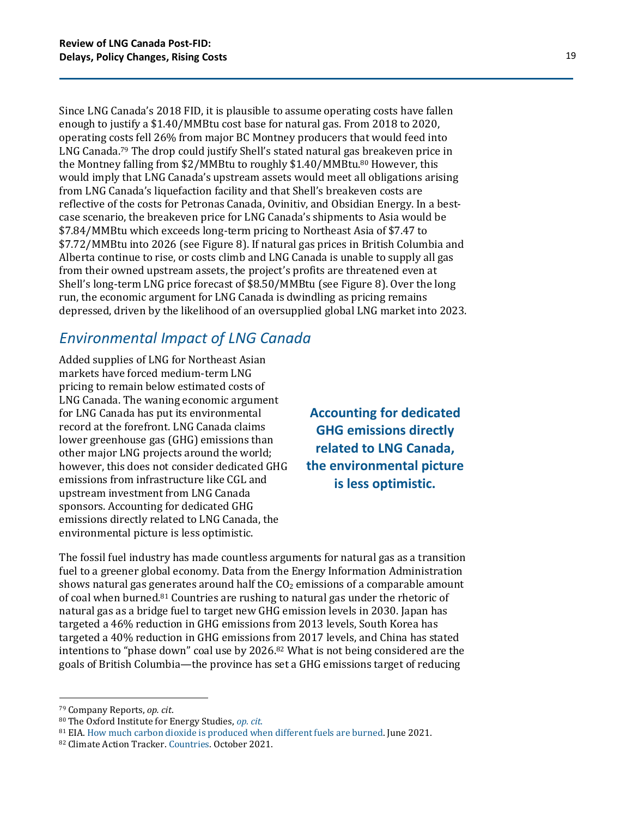Since LNG Canada's 2018 FID, it is plausible to assume operating costs have fallen enough to justify a \$1.40/MMBtu cost base for natural gas. From 2018 to 2020, operating costs fell 26% from major BC Montney producers that would feed into LNG Canada. <sup>79</sup> The drop could justify Shell's stated natural gas breakeven price in the Montney falling from \$2/MMBtu to roughly \$1.40/MMBtu. <sup>80</sup> However, this would imply that LNG Canada's upstream assets would meet all obligations arising from LNG Canada's liquefaction facility and that Shell's breakeven costs are reflective of the costs for Petronas Canada, Ovinitiv, and Obsidian Energy. In a bestcase scenario, the breakeven price for LNG Canada's shipments to Asia would be \$7.84/MMBtu which exceeds long-term pricing to Northeast Asia of \$7.47 to \$7.72/MMBtu into 2026 (see Figure 8). If natural gas prices in British Columbia and Alberta continue to rise, or costs climb and LNG Canada is unable to supply all gas from their owned upstream assets, the project's profits are threatened even at Shell's long-term LNG price forecast of \$8.50/MMBtu (see Figure 8). Over the long run, the economic argument for LNG Canada is dwindling as pricing remains depressed, driven by the likelihood of an oversupplied global LNG market into 2023.

### *Environmental Impact of LNG Canada*

Added supplies of LNG for Northeast Asian markets have forced medium-term LNG pricing to remain below estimated costs of LNG Canada. The waning economic argument for LNG Canada has put its environmental record at the forefront. LNG Canada claims lower greenhouse gas (GHG) emissions than other major LNG projects around the world; however, this does not consider dedicated GHG emissions from infrastructure like CGL and upstream investment from LNG Canada sponsors. Accounting for dedicated GHG emissions directly related to LNG Canada, the environmental picture is less optimistic.

**Accounting for dedicated GHG emissions directly related to LNG Canada, the environmental picture is less optimistic.**

The fossil fuel industry has made countless arguments for natural gas as a transition fuel to a greener global economy. Data from the Energy Information Administration shows natural gas generates around half the  $CO<sub>2</sub>$  emissions of a comparable amount of coal when burned.<sup>81</sup> Countries are rushing to natural gas under the rhetoric of natural gas as a bridge fuel to target new GHG emission levels in 2030. Japan has targeted a 46% reduction in GHG emissions from 2013 levels, South Korea has targeted a 40% reduction in GHG emissions from 2017 levels, and China has stated intentions to "phase down" coal use by 2026. <sup>82</sup> What is not being considered are the goals of British Columbia—the province has set a GHG emissions target of reducing

<sup>79</sup> Company Reports, *op. cit*.

<sup>80</sup> The Oxford Institute for Energy Studies, *[op.](https://www.oxfordenergy.org/wpcms/wp-content/uploads/2019/12/Canadian-LNG-Competitiveness-NG-156.pdf) cit*.

<sup>81</sup> EIA. [How much carbon dioxide is produced when different fuels are burned.](https://www.eia.gov/tools/faqs/faq.php?id=73&t=11) June 2021.

<sup>82</sup> Climate Action Tracker. [Countries.](https://climateactiontracker.org/countries/) October 2021.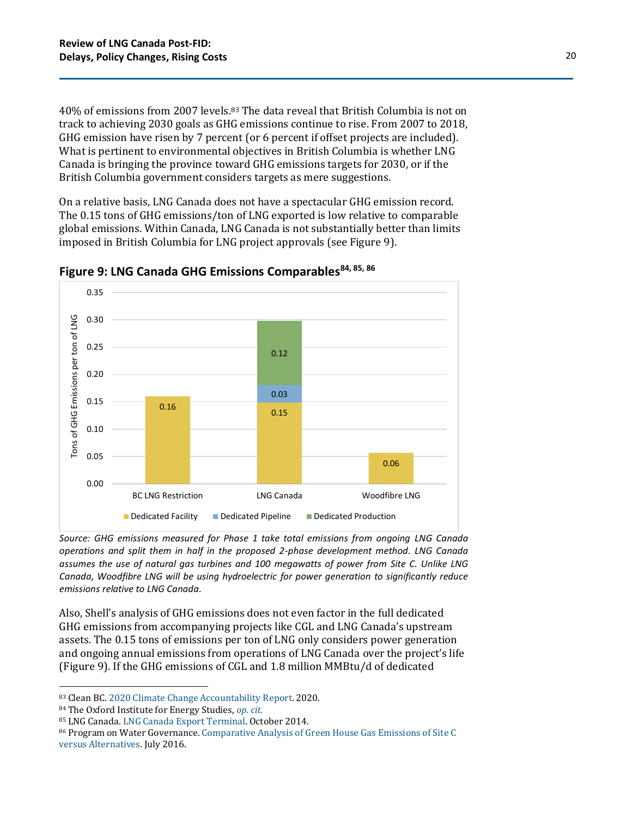40% of emissions from 2007 levels. <sup>83</sup> The data reveal that British Columbia is not on track to achieving 2030 goals as GHG emissions continue to rise. From 2007 to 2018, GHG emission have risen by 7 percent (or 6 percent if offset projects are included). What is pertinent to environmental objectives in British Columbia is whether LNG Canada is bringing the province toward GHG emissions targets for 2030, or if the British Columbia government considers targets as mere suggestions.

On a relative basis, LNG Canada does not have a spectacular GHG emission record. The 0.15 tons of GHG emissions/ton of LNG exported is low relative to comparable global emissions. Within Canada, LNG Canada is not substantially better than limits imposed in British Columbia for LNG project approvals (see Figure 9).



**Figure 9: LNG Canada GHG Emissions Comparables84, 85, 86**

*Source: GHG emissions measured for Phase 1 take total emissions from ongoing LNG Canada operations and split them in half in the proposed 2-phase development method. LNG Canada assumes the use of natural gas turbines and 100 megawatts of power from Site C. Unlike LNG Canada, Woodfibre LNG will be using hydroelectric for power generation to significantly reduce emissions relative to LNG Canada.* 

Also, Shell's analysis of GHG emissions does not even factor in the full dedicated GHG emissions from accompanying projects like CGL and LNG Canada's upstream assets. The 0.15 tons of emissions per ton of LNG only considers power generation and ongoing annual emissions from operations of LNG Canada over the project's life (Figure 9). If the GHG emissions of CGL and 1.8 million MMBtu/d of dedicated

<sup>83</sup> Clean BC. [2020 Climate Change Accountability Report.](https://www2.gov.bc.ca/assets/gov/environment/climate-change/action/cleanbc/2020_climate_change_accountability_report.pdf) 2020.

<sup>84</sup> The Oxford Institute for Energy Studies, *[op.](https://www.oxfordenergy.org/wpcms/wp-content/uploads/2019/12/Canadian-LNG-Competitiveness-NG-156.pdf) cit*.

<sup>85</sup> LNG Canada. [LNG Canada Export Terminal.](https://projects.eao.gov.bc.ca/api/document/5886905ce036fb0105768a9b/fetch/Greenhouse%20Gas%20Management%20Technical%20Data%20Report.pdf) October 2014.

<sup>86</sup> Program on Water Governance. Comparative Analysis of Green House Gas Emissions of Site C [versus Alternatives.](http://watergovernance.sites.olt.ubc.ca/files/2017/11/Report-4-Site-C-Comparative-GHG-analysis.pdf) July 2016.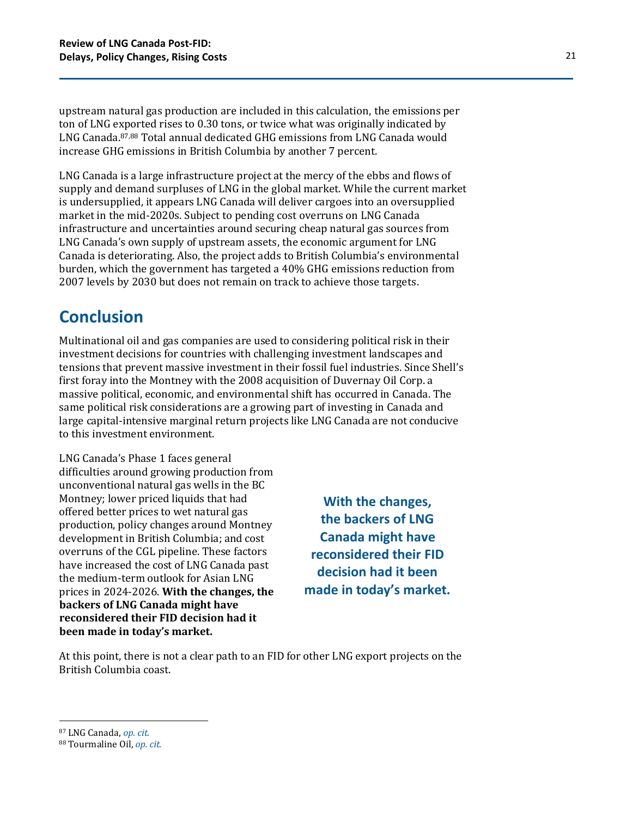upstream natural gas production are included in this calculation, the emissions per ton of LNG exported rises to 0.30 tons, or twice what was originally indicated by LNG Canada. 87,88 Total annual dedicated GHG emissions from LNG Canada would increase GHG emissions in British Columbia by another 7 percent.

LNG Canada is a large infrastructure project at the mercy of the ebbs and flows of supply and demand surpluses of LNG in the global market. While the current market is undersupplied, it appears LNG Canada will deliver cargoes into an oversupplied market in the mid-2020s. Subject to pending cost overruns on LNG Canada infrastructure and uncertainties around securing cheap natural gas sources from LNG Canada's own supply of upstream assets, the economic argument for LNG Canada is deteriorating. Also, the project adds to British Columbia's environmental burden, which the government has targeted a 40% GHG emissions reduction from 2007 levels by 2030 but does not remain on track to achieve those targets.

## <span id="page-20-0"></span>**Conclusion**

Multinational oil and gas companies are used to considering political risk in their investment decisions for countries with challenging investment landscapes and tensions that prevent massive investment in their fossil fuel industries. Since Shell's first foray into the Montney with the 2008 acquisition of Duvernay Oil Corp. a massive political, economic, and environmental shift has occurred in Canada. The same political risk considerations are a growing part of investing in Canada and large capital-intensive marginal return projects like LNG Canada are not conducive to this investment environment.

LNG Canada's Phase 1 faces general difficulties around growing production from unconventional natural gas wells in the BC Montney; lower priced liquids that had offered better prices to wet natural gas production, policy changes around Montney development in British Columbia; and cost overruns of the CGL pipeline. These factors have increased the cost of LNG Canada past the medium-term outlook for Asian LNG prices in 2024-2026. **With the changes, the backers of LNG Canada might have reconsidered their FID decision had it been made in today's market.**

**With the changes, the backers of LNG Canada might have reconsidered their FID decision had it been made in today's market.**

At this point, there is not a clear path to an FID for other LNG export projects on the British Columbia coast.

<sup>87</sup> LNG Canada, *[op.](https://projects.eao.gov.bc.ca/api/document/5886905ce036fb0105768a9b/fetch/Greenhouse%20Gas%20Management%20Technical%20Data%20Report.pdf) cit*.

<sup>88</sup> Tourmaline Oil, *[op. cit.](https://www.tourmalineoil.com/wp-content/uploads/2021/09/Tourmaline-Oil-Corp-Overview-September-22.pdf)*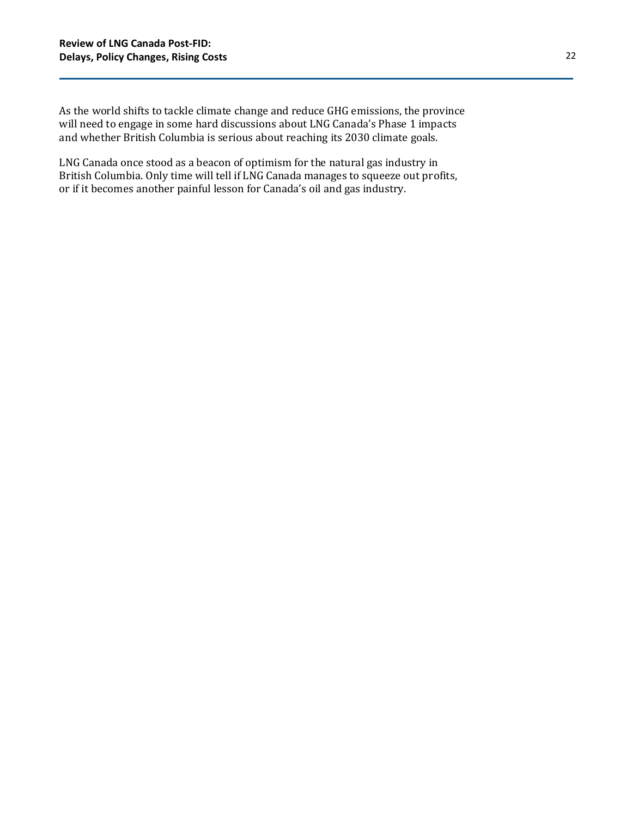As the world shifts to tackle climate change and reduce GHG emissions, the province will need to engage in some hard discussions about LNG Canada's Phase 1 impacts and whether British Columbia is serious about reaching its 2030 climate goals.

LNG Canada once stood as a beacon of optimism for the natural gas industry in British Columbia. Only time will tell if LNG Canada manages to squeeze out profits, or if it becomes another painful lesson for Canada's oil and gas industry.